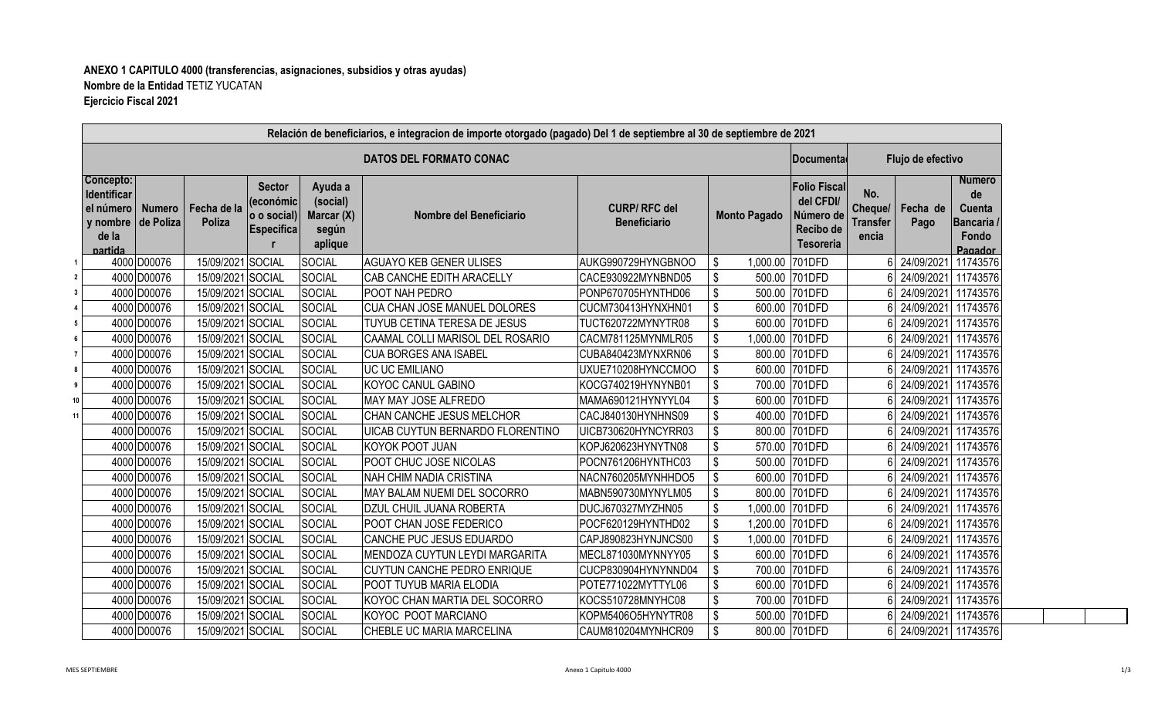## **ANEXO 1 CAPITULO 4000 (transferencias, asignaciones, subsidios y otras ayudas) Nombre de la Entidad:**TETIZ YUCATAN **Ejercicio Fiscal 2021**

| Relación de beneficiarios, e integracion de importe otorgado (pagado) Del 1 de septiembre al 30 de septiembre de 2021 |                                |                                                                                                                                           |        |               |                                         |                                            |                     |                                                                                |                                            |                     |                                                                      |  |
|-----------------------------------------------------------------------------------------------------------------------|--------------------------------|-------------------------------------------------------------------------------------------------------------------------------------------|--------|---------------|-----------------------------------------|--------------------------------------------|---------------------|--------------------------------------------------------------------------------|--------------------------------------------|---------------------|----------------------------------------------------------------------|--|
|                                                                                                                       | <b>DATOS DEL FORMATO CONAC</b> |                                                                                                                                           |        |               |                                         |                                            |                     |                                                                                | Flujo de efectivo<br><b>∣Documenta</b>     |                     |                                                                      |  |
| Concepto:<br>Identificar<br>el número<br>y nombre<br>de la<br>partida                                                 | <b>Numero</b><br>de Poliza     | <b>Sector</b><br>Ayuda a<br>(económic<br>(social)<br>Fecha de la<br>o o social)<br><b>Poliza</b><br><b>Especifica</b><br>según<br>aplique |        | Marcar (X)    | Nombre del Beneficiario                 | <b>CURP/RFC del</b><br><b>Beneficiario</b> | <b>Monto Pagado</b> | <b>Folio Fiscal</b><br>del CFDI/<br>Número de<br>Recibo de<br><b>Tesoreria</b> | No.<br>Cheque/<br><b>Transfer</b><br>encia | Fecha de<br>Pago    | <b>Numero</b><br>de<br>Cuenta<br><b>Bancaria</b><br>Fondo<br>Pagador |  |
|                                                                                                                       | 4000 D00076                    | 15/09/2021 SOCIAL                                                                                                                         |        | SOCIAL        | <b>AGUAYO KEB GENER ULISES</b>          | AUKG990729HYNGBNOO                         | 1,000.00<br>\$      | 701DFD                                                                         |                                            | 24/09/2021          | 11743576                                                             |  |
|                                                                                                                       | 4000 D00076                    | 15/09/2021 SOCIAL                                                                                                                         |        | SOCIAL        | CAB CANCHE EDITH ARACELLY               | CACE930922MYNBND05                         | \$                  | 500.00 701DFD                                                                  |                                            | 24/09/2021          | 11743576                                                             |  |
|                                                                                                                       | 4000 D00076                    | 15/09/2021 SOCIAL                                                                                                                         |        | SOCIAL        | <b>POOT NAH PEDRO</b>                   | PONP670705HYNTHD06                         | \$                  | 500.00 701DFD                                                                  |                                            | 24/09/2021          | 11743576                                                             |  |
|                                                                                                                       | 4000 D00076                    | 15/09/2021 SOCIAL                                                                                                                         |        | SOCIAL        | <b>CUA CHAN JOSE MANUEL DOLORES</b>     | CUCM730413HYNXHN01                         | \$                  | 600.00 701DFD                                                                  |                                            | 24/09/2021 11743576 |                                                                      |  |
|                                                                                                                       | 4000 D00076                    | 15/09/2021 SOCIAL                                                                                                                         |        | <b>SOCIAL</b> | TUYUB CETINA TERESA DE JESUS            | TUCT620722MYNYTR08                         | \$                  | 600.00 701DFD                                                                  |                                            | 24/09/2021          | 11743576                                                             |  |
|                                                                                                                       | 4000 D00076                    | 15/09/2021 SOCIAL                                                                                                                         |        | <b>SOCIAL</b> | CAAMAL COLLI MARISOL DEL ROSARIO        | CACM781125MYNMLR05                         | \$                  | 1,000.00 701DFD                                                                |                                            | 24/09/2021          | 11743576                                                             |  |
|                                                                                                                       | 4000 D00076                    | 15/09/2021 SOCIAL                                                                                                                         |        | SOCIAL        | <b>CUA BORGES ANA ISABEL</b>            | CUBA840423MYNXRN06                         | \$                  | 800.00 701DFD                                                                  |                                            | 24/09/2021          | 11743576                                                             |  |
|                                                                                                                       | 4000 D00076                    | 15/09/2021 SOCIAL                                                                                                                         |        | SOCIAL        | <b>UC UC EMILIANO</b>                   | UXUE710208HYNCCMOO                         | \$                  | 600.00 701DFD                                                                  |                                            |                     | 24/09/2021 11743576                                                  |  |
|                                                                                                                       | 4000 D00076                    | 15/09/2021 SOCIAL                                                                                                                         |        | SOCIAL        | <b>KOYOC CANUL GABINO</b>               | KOCG740219HYNYNB01                         | \$                  | 700.00 701DFD                                                                  |                                            | 24/09/2021          | 11743576                                                             |  |
|                                                                                                                       | 4000 D00076                    | 15/09/2021 SOCIAL                                                                                                                         |        | SOCIAL        | MAY MAY JOSE ALFREDO                    | MAMA690121HYNYYL04                         | \$<br>600.00        | 701DFD                                                                         |                                            | 24/09/2021          | 11743576                                                             |  |
|                                                                                                                       | 4000 D00076                    | 15/09/2021 SOCIAL                                                                                                                         |        | SOCIAL        | CHAN CANCHE JESUS MELCHOR               | CACJ840130HYNHNS09                         | \$<br>400.00        | 701DFD                                                                         |                                            | 24/09/2021          | 11743576                                                             |  |
|                                                                                                                       | 4000 D00076                    | 15/09/2021 SOCIAL                                                                                                                         |        | <b>SOCIAL</b> | <b>UICAB CUYTUN BERNARDO FLORENTINO</b> | UICB730620HYNCYRR03                        | \$                  | 800.00 701DFD                                                                  |                                            |                     | 24/09/2021 11743576                                                  |  |
|                                                                                                                       | 4000 D00076                    | 15/09/2021 SOCIAL                                                                                                                         |        | SOCIAL        | KOYOK POOT JUAN                         | KOPJ620623HYNYTN08                         | \$                  | 570.00 701DFD                                                                  |                                            | 24/09/2021          | 11743576                                                             |  |
|                                                                                                                       | 4000 D00076                    | 15/09/2021 SOCIAL                                                                                                                         |        | <b>SOCIAL</b> | POOT CHUC JOSE NICOLAS                  | POCN761206HYNTHC03                         | \$                  | 500.00 701DFD                                                                  |                                            | 24/09/2021          | 11743576                                                             |  |
|                                                                                                                       | 4000 D00076                    | 15/09/2021                                                                                                                                | SOCIAL | SOCIAL        | NAH CHIM NADIA CRISTINA                 | NACN760205MYNHHDO5                         | \$<br>600.00        | 701DFD                                                                         |                                            | 24/09/2021          | 11743576                                                             |  |
|                                                                                                                       | 4000 D00076                    | 15/09/2021 SOCIAL                                                                                                                         |        | SOCIAL        | MAY BALAM NUEMI DEL SOCORRO             | MABN590730MYNYLM05                         | \$                  | 800.00 701DFD                                                                  |                                            | 24/09/2021          | 11743576                                                             |  |
|                                                                                                                       | 4000 D00076                    | 15/09/2021 SOCIAL                                                                                                                         |        | SOCIAL        | <b>DZUL CHUIL JUANA ROBERTA</b>         | DUCJ670327MYZHN05                          | \$<br>1,000.00      | 701DFD                                                                         |                                            | 24/09/2021          | 11743576                                                             |  |
|                                                                                                                       | 4000 D00076                    | 15/09/2021 SOCIAL                                                                                                                         |        | <b>SOCIAL</b> | POOT CHAN JOSE FEDERICO                 | POCF620129HYNTHD02                         | \$<br>1,200.00      | 701DFD                                                                         |                                            | 24/09/2021          | 11743576                                                             |  |
|                                                                                                                       | 4000 D00076                    | 15/09/2021 SOCIAL                                                                                                                         |        | SOCIAL        | CANCHE PUC JESUS EDUARDO                | CAPJ890823HYNJNCS00                        | \$<br>1,000.00      | 701DFD                                                                         |                                            | 24/09/2021          | 11743576                                                             |  |
|                                                                                                                       | 4000 D00076                    | 15/09/2021 SOCIAL                                                                                                                         |        | SOCIAL        | MENDOZA CUYTUN LEYDI MARGARITA          | MECL871030MYNNYY05                         | \$<br>600.00        | 701DFD                                                                         |                                            | 24/09/2021          | 11743576                                                             |  |
|                                                                                                                       | 4000 D00076                    | 15/09/2021 SOCIAL                                                                                                                         |        | <b>SOCIAL</b> | <b>CUYTUN CANCHE PEDRO ENRIQUE</b>      | CUCP830904HYNYNND04                        | \$                  | 700.00 701DFD                                                                  |                                            | 24/09/2021          | 11743576                                                             |  |
|                                                                                                                       | 4000 D00076                    | 15/09/2021 SOCIAL                                                                                                                         |        | <b>SOCIAL</b> | POOT TUYUB MARIA ELODIA                 | POTE771022MYTTYL06                         | \$<br>600.00        | 701DFD                                                                         |                                            | 24/09/2021          | 11743576                                                             |  |
|                                                                                                                       | 4000 D00076                    | 15/09/2021 SOCIAL                                                                                                                         |        | SOCIAL        | KOYOC CHAN MARTIA DEL SOCORRO           | KOCS510728MNYHC08                          | \$<br>700.00        | 701DFD                                                                         |                                            | 24/09/2021          | 11743576                                                             |  |
|                                                                                                                       | 4000 D00076                    | 15/09/2021 SOCIAL                                                                                                                         |        | SOCIAL        | KOYOC POOT MARCIANO                     | KOPM5406O5HYNYTR08                         | \$                  | 500.00 701DFD                                                                  |                                            | 24/09/2021          | 11743576                                                             |  |
|                                                                                                                       | 4000 D00076                    | 15/09/2021 SOCIAL                                                                                                                         |        | SOCIAL        | CHEBLE UC MARIA MARCELINA               | CAUM810204MYNHCR09                         | \$                  | 800.00 701DFD                                                                  |                                            |                     | 24/09/2021 11743576                                                  |  |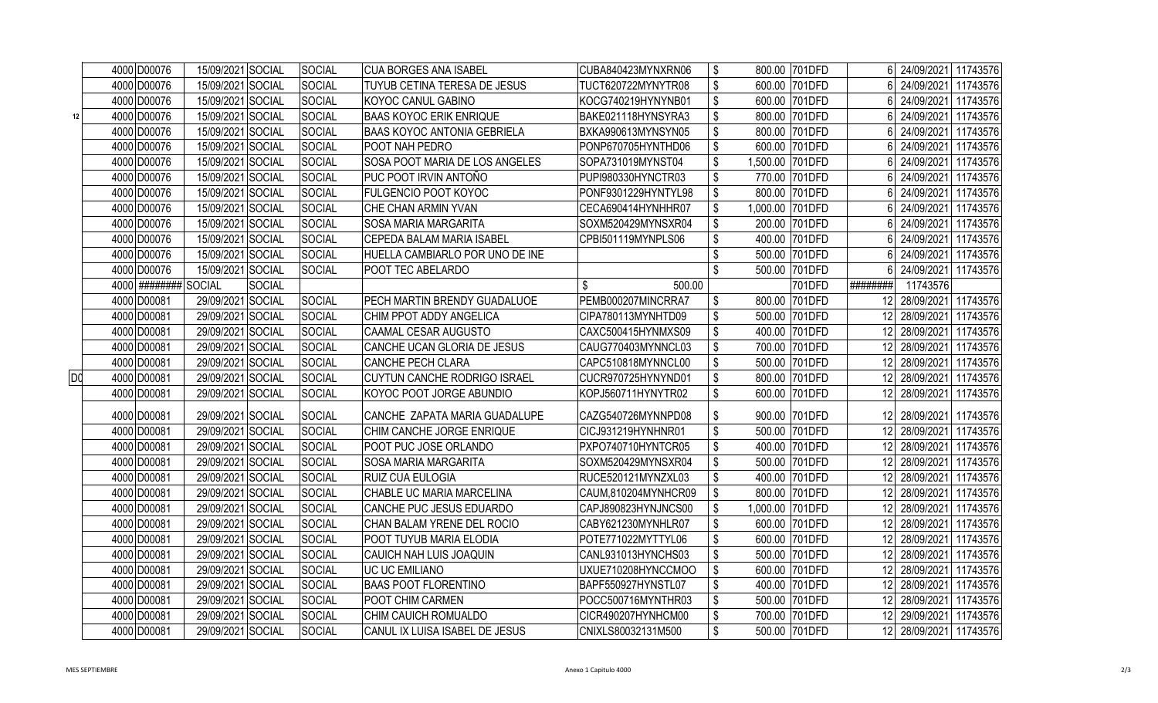|    | 4000 D00076           | 15/09/2021 SOCIAL | SOCIAL        | <b>CUA BORGES ANA ISABEL</b>        | CUBA840423MYNXRN06  | \$<br>800.00 701DFD      | 24/09/2021 11743576                    |
|----|-----------------------|-------------------|---------------|-------------------------------------|---------------------|--------------------------|----------------------------------------|
|    | 4000 D00076           | 15/09/2021 SOCIAL | <b>SOCIAL</b> | TUYUB CETINA TERESA DE JESUS        | TUCT620722MYNYTR08  | \$<br>600.00 701DFD      | 6<br>24/09/2021 11743576               |
|    | 4000 D00076           | 15/09/2021 SOCIAL | SOCIAL        | KOYOC CANUL GABINO                  | KOCG740219HYNYNB01  | \$<br>600.00 701DFD      | 6<br>24/09/2021 11743576               |
| 12 | 4000 D00076           | 15/09/2021 SOCIAL | <b>SOCIAL</b> | <b>BAAS KOYOC ERIK ENRIQUE</b>      | BAKE021118HYNSYRA3  | \$<br>800.00 701DFD      | 6<br>24/09/2021 11743576               |
|    | 4000 D00076           | 15/09/2021 SOCIAL | SOCIAL        | <b>BAAS KOYOC ANTONIA GEBRIELA</b>  | BXKA990613MYNSYN05  | \$<br>800.00 701DFD      | 24/09/2021 11743576<br>6               |
|    | 4000 D00076           | 15/09/2021 SOCIAL | <b>SOCIAL</b> | POOT NAH PEDRO                      | PONP670705HYNTHD06  | \$<br>600.00 701DFD      | 24/09/2021 11743576<br>6               |
|    | 4000 D00076           | 15/09/2021 SOCIAL | <b>SOCIAL</b> | SOSA POOT MARIA DE LOS ANGELES      | SOPA731019MYNST04   | \$<br>1,500.00 701DFD    | 24/09/2021 11743576<br>6               |
|    | 4000 D00076           | 15/09/2021 SOCIAL | SOCIAL        | PUC POOT IRVIN ANTOÑO               | PUPI980330HYNCTR03  | \$<br>770.00 701DFD      | 24/09/2021<br>11743576<br>6            |
|    | 4000 D00076           | 15/09/2021 SOCIAL | <b>SOCIAL</b> | <b>FULGENCIO POOT KOYOC</b>         | PONF9301229HYNTYL98 | \$<br>800.00 701DFD      | 6<br>24/09/2021<br>11743576            |
|    | 4000 D00076           | 15/09/2021 SOCIAL | <b>SOCIAL</b> | CHE CHAN ARMIN YVAN                 | CECA690414HYNHHR07  | \$<br>1,000.00 701DFD    | 11743576<br>24/09/2021<br>ĥ            |
|    | 4000 D00076           | 15/09/2021 SOCIAL | SOCIAL        | <b>SOSA MARIA MARGARITA</b>         | SOXM520429MYNSXR04  | \$<br>200.00 701DFD      | 24/09/2021<br>11743576                 |
|    | 4000 D00076           | 15/09/2021 SOCIAL | SOCIAL        | CEPEDA BALAM MARIA ISABEL           | CPBI501119MYNPLS06  | \$<br>400.00 701DFD      | 24/09/2021<br>11743576<br>$\mathsf{6}$ |
|    | 4000 D00076           | 15/09/2021 SOCIAL | <b>SOCIAL</b> | HUELLA CAMBIARLO POR UNO DE INE     |                     | \$<br>500.00 701DFD      | 24/09/2021 11743576<br>6               |
|    | 4000 D00076           | 15/09/2021 SOCIAL | <b>SOCIAL</b> | POOT TEC ABELARDO                   |                     | \$<br>500.00 701DFD      | 24/09/2021<br>11743576<br>6            |
|    | 4000 ######### SOCIAL | <b>SOCIAL</b>     |               |                                     | \$<br>500.00        | 701DFD                   | ########<br>11743576                   |
|    | 4000 D00081           | 29/09/2021 SOCIAL | SOCIAL        | PECH MARTIN BRENDY GUADALUOE        | PEMB000207MINCRRA7  | \$<br>800.00 701DFD      | 28/09/2021 11743576<br>12              |
|    | 4000 D00081           | 29/09/2021 SOCIAL | <b>SOCIAL</b> | CHIM PPOT ADDY ANGELICA             | CIPA780113MYNHTD09  | \$<br>500.00 701DFD      | 28/09/2021 11743576<br>12              |
|    | 4000 D00081           | 29/09/2021 SOCIAL | <b>SOCIAL</b> | CAAMAL CESAR AUGUSTO                | CAXC500415HYNMXS09  | \$<br>400.00 701DFD      | 12<br>28/09/2021<br>11743576           |
|    | 4000 D00081           | 29/09/2021 SOCIAL | SOCIAL        | CANCHE UCAN GLORIA DE JESUS         | CAUG770403MYNNCL03  | \$<br>700.00 701DFD      | 12<br>28/09/2021<br>11743576           |
|    | 4000 D00081           | 29/09/2021 SOCIAL | <b>SOCIAL</b> | <b>CANCHE PECH CLARA</b>            | CAPC510818MYNNCL00  | \$<br>500.00 701DFD      | 12<br>28/09/2021 11743576              |
| DO | 4000 D00081           | 29/09/2021 SOCIAL | <b>SOCIAL</b> | <b>CUYTUN CANCHE RODRIGO ISRAEL</b> | CUCR970725HYNYND01  | \$<br>800.00 701DFD      | 28/09/2021 11743576<br>12              |
|    | 4000 D00081           | 29/09/2021 SOCIAL | <b>SOCIAL</b> | KOYOC POOT JORGE ABUNDIO            | KOPJ560711HYNYTR02  | \$<br>600.00 701DFD      | 28/09/2021<br>11743576<br>12           |
|    | 4000 D00081           | 29/09/2021 SOCIAL | <b>SOCIAL</b> | CANCHE ZAPATA MARIA GUADALUPE       | CAZG540726MYNNPD08  | \$<br>900.00 701DFD      | 28/09/2021 11743576<br>12              |
|    | 4000 D00081           | 29/09/2021 SOCIAL | SOCIAL        | CHIM CANCHE JORGE ENRIQUE           | CICJ931219HYNHNR01  | \$<br>500.00 701DFD      | 28/09/2021 11743576<br>12              |
|    | 4000 D00081           | 29/09/2021 SOCIAL | SOCIAL        | POOT PUC JOSE ORLANDO               | PXPO740710HYNTCR05  | \$<br>400.00 701DFD      | 12<br>28/09/2021 11743576              |
|    | 4000 D00081           | 29/09/2021 SOCIAL | SOCIAL        | <b>SOSA MARIA MARGARITA</b>         | SOXM520429MYNSXR04  | \$<br>500.00 701DFD      | 12<br>28/09/2021 11743576              |
|    | 4000 D00081           | 29/09/2021 SOCIAL | SOCIAL        | RUIZ CUA EULOGIA                    | RUCE520121MYNZXL03  | \$<br>400.00 701DFD      | 12<br>28/09/2021 11743576              |
|    | 4000 D00081           | 29/09/2021 SOCIAL | SOCIAL        | CHABLE UC MARIA MARCELINA           | CAUM,810204MYNHCR09 | \$<br>800.00 701DFD      | 12<br>28/09/2021 11743576              |
|    | 4000 D00081           | 29/09/2021 SOCIAL | <b>SOCIAL</b> | CANCHE PUC JESUS EDUARDO            | CAPJ890823HYNJNCS00 | \$<br>1,000.00<br>701DFD | 12<br>28/09/2021 11743576              |
|    | 4000 D00081           | 29/09/2021 SOCIAL | <b>SOCIAL</b> | CHAN BALAM YRENE DEL ROCIO          | CABY621230MYNHLR07  | \$<br>600.00 701DFD      | 12<br>28/09/2021 11743576              |
|    | 4000 D00081           | 29/09/2021 SOCIAL | SOCIAL        | POOT TUYUB MARIA ELODIA             | POTE771022MYTTYL06  | \$<br>600.00 701DFD      | 12<br>28/09/2021 11743576              |
|    | 4000 D00081           | 29/09/2021 SOCIAL | SOCIAL        | CAUICH NAH LUIS JOAQUIN             | CANL931013HYNCHS03  | \$<br>500.00 701DFD      | 12<br>28/09/2021 11743576              |
|    | 4000 D00081           | 29/09/2021 SOCIAL | <b>SOCIAL</b> | <b>UC UC EMILIANO</b>               | UXUE710208HYNCCMOO  | \$<br>600.00<br>701DFD   | 12<br>28/09/2021 11743576              |
|    | 4000 D00081           | 29/09/2021 SOCIAL | SOCIAL        | <b>BAAS POOT FLORENTINO</b>         | BAPF550927HYNSTL07  | \$<br>400.00<br>701DFD   | 12<br>28/09/2021 11743576              |
|    | 4000 D00081           | 29/09/2021 SOCIAL | SOCIAL        | POOT CHIM CARMEN                    | POCC500716MYNTHR03  | \$<br>701DFD<br>500.00   | 12<br>28/09/2021 11743576              |
|    | 4000 D00081           | 29/09/2021 SOCIAL | <b>SOCIAL</b> | CHIM CAUICH ROMUALDO                | CICR490207HYNHCM00  | \$<br>700.00<br>701DFD   | 12<br>29/09/2021 11743576              |
|    | 4000 D00081           | 29/09/2021 SOCIAL | SOCIAL        | CANUL IX LUISA ISABEL DE JESUS      | CNIXLS80032131M500  | \$<br>500.00 701DFD      | 12<br>28/09/2021 11743576              |